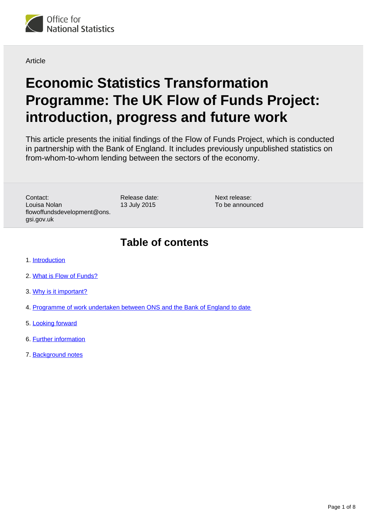

### Article

# **Economic Statistics Transformation Programme: The UK Flow of Funds Project: introduction, progress and future work**

This article presents the initial findings of the Flow of Funds Project, which is conducted in partnership with the Bank of England. It includes previously unpublished statistics on from-whom-to-whom lending between the sectors of the economy.

Contact: Louisa Nolan flowoffundsdevelopment@ons. gsi.gov.uk

Release date: 13 July 2015

Next release: To be announced

### **Table of contents**

- 1. [Introduction](#page-1-0)
- 2. [What is Flow of Funds?](#page-1-1)
- 3. [Why is it important?](#page-2-0)
- 4. [Programme of work undertaken between ONS and the Bank of England to date](#page-3-0)
- 5. [Looking forward](#page-6-0)
- 6. [Further information](#page-6-1)
- 7. Background notes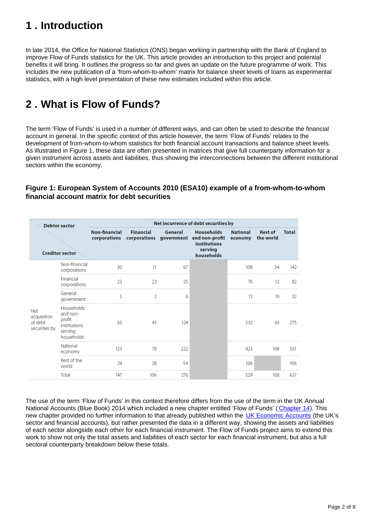# <span id="page-1-0"></span>**1 . Introduction**

In late 2014, the Office for National Statistics (ONS) began working in partnership with the Bank of England to improve Flow of Funds statistics for the UK. This article provides an introduction to this project and potential benefits it will bring. It outlines the progress so far and gives an update on the future programme of work. This includes the new publication of a 'from-whom-to-whom' matrix for balance sheet levels of loans as experimental statistics, with a high level presentation of these new estimates included within this article.

### <span id="page-1-1"></span>**2 . What is Flow of Funds?**

The term 'Flow of Funds' is used in a number of different ways, and can often be used to describe the financial account in general. In the specific context of this article however, the term 'Flow of Funds' relates to the development of from-whom-to-whom statistics for both financial account transactions and balance sheet levels. As illustrated in Figure 1, these data are often presented in matrices that give full counterparty information for a given instrument across assets and liabilities, thus showing the interconnections between the different institutional sectors within the economy.

### **Figure 1: European System of Accounts 2010 (ESA10) example of a from-whom-to-whom financial account matrix for debt securities**

| <b>Debtor sector</b><br><b>Creditor sector</b> |                                                                           | Net incurrence of debt securities by              |     |         |                                                                                                             |                            |                             |              |  |  |
|------------------------------------------------|---------------------------------------------------------------------------|---------------------------------------------------|-----|---------|-------------------------------------------------------------------------------------------------------------|----------------------------|-----------------------------|--------------|--|--|
|                                                |                                                                           | Non-financial<br><b>Financial</b><br>corporations |     | General | <b>Households</b><br>corporations government and non-profit<br><b>institutions</b><br>serving<br>households | <b>National</b><br>economy | <b>Rest of</b><br>the world | <b>Total</b> |  |  |
| Net<br>acquisition<br>of debt<br>securities by | Non-financial<br>corporations                                             | 30                                                | 11  | 67      |                                                                                                             | 108                        | 34                          | 142          |  |  |
|                                                | Financial<br>corporations                                                 | 23                                                | 22  | 25      |                                                                                                             | 70                         | 12                          | 82           |  |  |
|                                                | General<br>government                                                     | 5                                                 | 2   | 6       |                                                                                                             | 13                         | 19                          | 32           |  |  |
|                                                | Households<br>and non-<br>profit<br>institutions<br>serving<br>households | 65                                                | 43  | 124     |                                                                                                             | 232                        | 43                          | 275          |  |  |
|                                                | National<br>economy                                                       | 123                                               | 78  | 222     |                                                                                                             | 423                        | 108                         | 531          |  |  |
|                                                | Rest of the<br>world                                                      | 24                                                | 28  | 54      |                                                                                                             | 106                        |                             | 106          |  |  |
|                                                | Total                                                                     | 147                                               | 106 | 276     |                                                                                                             | 529                        | 108                         | 637          |  |  |

The use of the term 'Flow of Funds' in this context therefore differs from the use of the term in the UK Annual National Accounts (Blue Book) 2014 which included a new chapter entitled 'Flow of Funds' ([Chapter 14\)](http://www.ons.gov.uk/ons/rel/naa1-rd/united-kingdom-national-accounts/the-blue-book--2014-edition/rpt---chapter-14.html). This new chapter provided no further information to that already published within the [UK Economic Accounts](http://www.ons.gov.uk/ons/rel/naa1-rd/united-kingdom-economic-accounts/index.html) (the UK's sector and financial accounts), but rather presented the data in a different way, showing the assets and liabilities of each sector alongside each other for each financial instrument. The Flow of Funds project aims to extend this work to show not only the total assets and liabilities of each sector for each financial instrument, but also a full sectoral counterparty breakdown below these totals.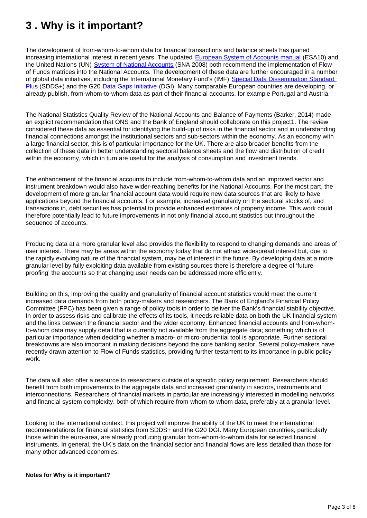# <span id="page-2-0"></span>**3 . Why is it important?**

The development of from-whom-to-whom data for financial transactions and balance sheets has gained increasing international interest in recent years. The updated [European System of Accounts manual](http://ec.europa.eu/eurostat/web/esa-2010/overview) (ESA10) and the United Nations (UN) [System of National Accounts](http://unstats.un.org/unsd/nationalaccount/sna2008.asp) (SNA 2008) both recommend the implementation of Flow of Funds matrices into the National Accounts. The development of these data are further encouraged in a number of global data initiatives, including the International Monetary Fund's (IMF) [Special Data Dissemination Standard](http://dsbb.imf.org/Pages/SDDS/Overview.aspx)  [Plus](http://dsbb.imf.org/Pages/SDDS/Overview.aspx) (SDDS+) and the G20 [Data Gaps Initiative](http://ec.europa.eu/eurostat/statistics-explained/index.php/G20_Data_Gaps_Initiative_(DGI)_%E2%80%93_background) (DGI). Many comparable European countries are developing. or already publish, from-whom-to-whom data as part of their financial accounts, for example Portugal and Austria.

The National Statistics Quality Review of the National Accounts and Balance of Payments (Barker, 2014) made an explicit recommendation that ONS and the Bank of England should collaborate on this project1. The review considered these data as essential for identifying the build-up of risks in the financial sector and in understanding financial connections amongst the institutional sectors and sub-sectors within the economy. As an economy with a large financial sector, this is of particular importance for the UK. There are also broader benefits from the collection of these data in better understanding sectoral balance sheets and the flow and distribution of credit within the economy, which in turn are useful for the analysis of consumption and investment trends.

The enhancement of the financial accounts to include from-whom-to-whom data and an improved sector and instrument breakdown would also have wider-reaching benefits for the National Accounts. For the most part, the development of more granular financial account data would require new data sources that are likely to have applications beyond the financial accounts. For example, increased granularity on the sectoral stocks of, and transactions in, debt securities has potential to provide enhanced estimates of property income. This work could therefore potentially lead to future improvements in not only financial account statistics but throughout the sequence of accounts.

Producing data at a more granular level also provides the flexibility to respond to changing demands and areas of user interest. There may be areas within the economy today that do not attract widespread interest but, due to the rapidly evolving nature of the financial system, may be of interest in the future. By developing data at a more granular level by fully exploiting data available from existing sources there is therefore a degree of 'futureproofing' the accounts so that changing user needs can be addressed more efficiently.

Building on this, improving the quality and granularity of financial account statistics would meet the current increased data demands from both policy-makers and researchers. The Bank of England's Financial Policy Committee (FPC) has been given a range of policy tools in order to deliver the Bank's financial stability objective. In order to assess risks and calibrate the effects of its tools, it needs reliable data on both the UK financial system and the links between the financial sector and the wider economy. Enhanced financial accounts and from-whomto-whom data may supply detail that is currently not available from the aggregate data; something which is of particular importance when deciding whether a macro- or micro-prudential tool is appropriate. Further sectoral breakdowns are also important in making decisions beyond the core banking sector. Several policy-makers have recently drawn attention to Flow of Funds statistics, providing further testament to its importance in public policy work.

The data will also offer a resource to researchers outside of a specific policy requirement. Researchers should benefit from both improvements to the aggregate data and increased granularity in sectors, instruments and interconnections. Researchers of financial markets in particular are increasingly interested in modelling networks and financial system complexity, both of which require from-whom-to-whom data, preferably at a granular level.

Looking to the international context, this project will improve the ability of the UK to meet the international recommendations for financial statistics from SDDS+ and the G20 DGI. Many European countries, particularly those within the euro-area, are already producing granular from-whom-to-whom data for selected financial instruments. In general, the UK's data on the financial sector and financial flows are less detailed than those for many other advanced economies.

#### **Notes for Why is it important?**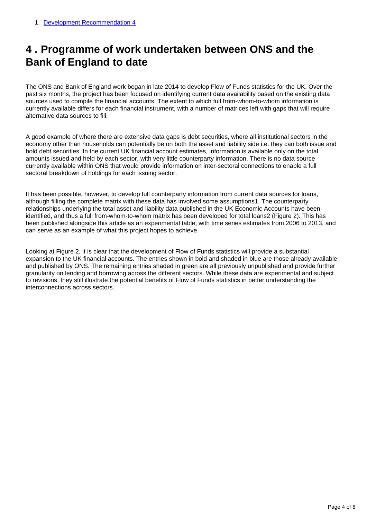### <span id="page-3-0"></span>**4 . Programme of work undertaken between ONS and the Bank of England to date**

The ONS and Bank of England work began in late 2014 to develop Flow of Funds statistics for the UK. Over the past six months, the project has been focused on identifying current data availability based on the existing data sources used to compile the financial accounts. The extent to which full from-whom-to-whom information is currently available differs for each financial instrument, with a number of matrices left with gaps that will require alternative data sources to fill.

A good example of where there are extensive data gaps is debt securities, where all institutional sectors in the economy other than households can potentially be on both the asset and liability side i.e. they can both issue and hold debt securities. In the current UK financial account estimates, information is available only on the total amounts issued and held by each sector, with very little counterparty information. There is no data source currently available within ONS that would provide information on inter-sectoral connections to enable a full sectoral breakdown of holdings for each issuing sector.

It has been possible, however, to develop full counterparty information from current data sources for loans, although filling the complete matrix with these data has involved some assumptions1. The counterparty relationships underlying the total asset and liability data published in the UK Economic Accounts have been identified, and thus a full from-whom-to-whom matrix has been developed for total loans2 (Figure 2). This has been published alongside this article as an experimental table, with time series estimates from 2006 to 2013, and can serve as an example of what this project hopes to achieve.

Looking at Figure 2, it is clear that the development of Flow of Funds statistics will provide a substantial expansion to the UK financial accounts. The entries shown in bold and shaded in blue are those already available and published by ONS. The remaining entries shaded in green are all previously unpublished and provide further granularity on lending and borrowing across the different sectors. While these data are experimental and subject to revisions, they still illustrate the potential benefits of Flow of Funds statistics in better understanding the interconnections across sectors.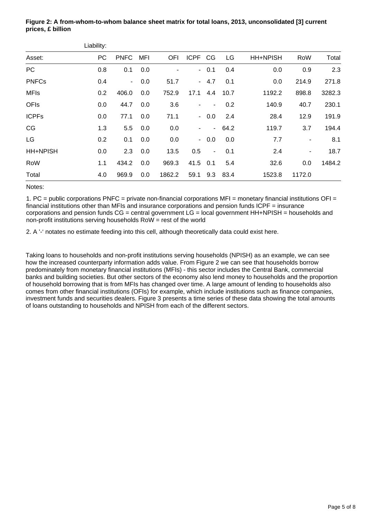|              | Liability: |             |            |        |                |                |      |                 |                |        |
|--------------|------------|-------------|------------|--------|----------------|----------------|------|-----------------|----------------|--------|
| Asset:       | РC         | <b>PNFC</b> | <b>MFI</b> | OFI    | <b>ICPF</b>    | CG             | LG   | <b>HH+NPISH</b> | RoW            | Total  |
| PC           | 0.8        | 0.1         | 0.0        |        | $\blacksquare$ | 0.1            | 0.4  | 0.0             | 0.9            | 2.3    |
| <b>PNFCs</b> | 0.4        | $\sim$      | 0.0        | 51.7   | $\blacksquare$ | 4.7            | 0.1  | 0.0             | 214.9          | 271.8  |
| <b>MFIs</b>  | 0.2        | 406.0       | 0.0        | 752.9  | 17.1           | 4.4            | 10.7 | 1192.2          | 898.8          | 3282.3 |
| <b>OFIs</b>  | 0.0        | 44.7        | 0.0        | 3.6    | ٠              | $\blacksquare$ | 0.2  | 140.9           | 40.7           | 230.1  |
| <b>ICPFs</b> | 0.0        | 77.1        | 0.0        | 71.1   | $\blacksquare$ | 0.0            | 2.4  | 28.4            | 12.9           | 191.9  |
| CG           | 1.3        | 5.5         | 0.0        | 0.0    | ٠              | $\sim 10$      | 64.2 | 119.7           | 3.7            | 194.4  |
| LG           | 0.2        | 0.1         | 0.0        | 0.0    | $\sim$         | 0.0            | 0.0  | 7.7             | $\blacksquare$ | 8.1    |
| HH+NPISH     | 0.0        | 2.3         | 0.0        | 13.5   | 0.5            | $\blacksquare$ | 0.1  | 2.4             | $\blacksquare$ | 18.7   |
| RoW          | 1.1        | 434.2       | 0.0        | 969.3  | 41.5           | 0.1            | 5.4  | 32.6            | 0.0            | 1484.2 |
| Total        | 4.0        | 969.9       | 0.0        | 1862.2 | 59.1           | 9.3            | 83.4 | 1523.8          | 1172.0         |        |

**Figure 2: A from-whom-to-whom balance sheet matrix for total loans, 2013, unconsolidated [3] current prices, £ billion**

Notes:

1. PC = public corporations PNFC = private non-financial corporations MFI = monetary financial institutions OFI = financial institutions other than MFIs and insurance corporations and pension funds ICPF = insurance corporations and pension funds CG = central government LG = local government HH+NPISH = households and non-profit institutions serving households RoW = rest of the world

2. A '-' notates no estimate feeding into this cell, although theoretically data could exist here.

Taking loans to households and non-profit institutions serving households (NPISH) as an example, we can see how the increased counterparty information adds value. From Figure 2 we can see that households borrow predominately from monetary financial institutions (MFIs) - this sector includes the Central Bank, commercial banks and building societies. But other sectors of the economy also lend money to households and the proportion of household borrowing that is from MFIs has changed over time. A large amount of lending to households also comes from other financial institutions (OFIs) for example, which include institutions such as finance companies, investment funds and securities dealers. Figure 3 presents a time series of these data showing the total amounts of loans outstanding to households and NPISH from each of the different sectors.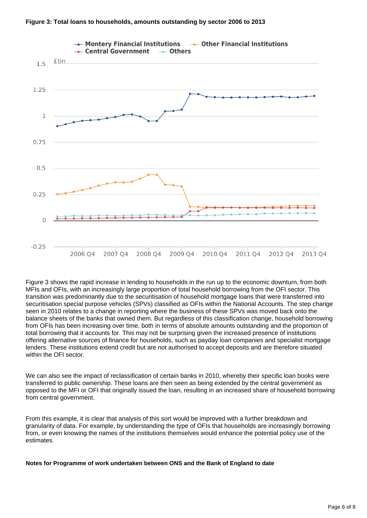

Figure 3 shows the rapid increase in lending to households in the run up to the economic downturn, from both MFIs and OFIs, with an increasingly large proportion of total household borrowing from the OFI sector. This transition was predominantly due to the securitisation of household mortgage loans that were transferred into securitisation special purpose vehicles (SPVs) classified as OFIs within the National Accounts. The step change seen in 2010 relates to a change in reporting where the business of these SPVs was moved back onto the balance sheets of the banks that owned them. But regardless of this classification change, household borrowing from OFIs has been increasing over time, both in terms of absolute amounts outstanding and the proportion of total borrowing that it accounts for. This may not be surprising given the increased presence of institutions offering alternative sources of finance for households, such as payday loan companies and specialist mortgage lenders. These institutions extend credit but are not authorised to accept deposits and are therefore situated within the OFI sector.

We can also see the impact of reclassification of certain banks in 2010, whereby their specific loan books were transferred to public ownership. These loans are then seen as being extended by the central government as opposed to the MFI or OFI that originally issued the loan, resulting in an increased share of household borrowing from central government.

From this example, it is clear that analysis of this sort would be improved with a further breakdown and granularity of data. For example, by understanding the type of OFIs that households are increasingly borrowing from, or even knowing the names of the institutions themselves would enhance the potential policy use of the estimates.

**Notes for Programme of work undertaken between ONS and the Bank of England to date**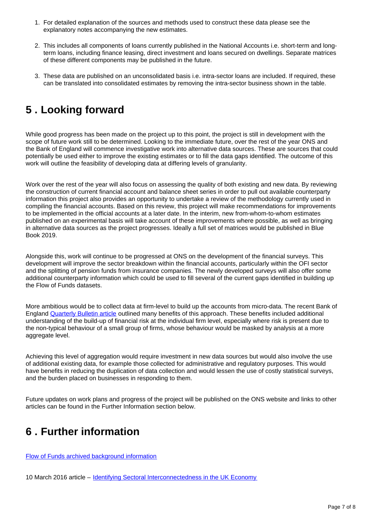- 1. For detailed explanation of the sources and methods used to construct these data please see the explanatory notes accompanying the new estimates.
- 2. This includes all components of loans currently published in the National Accounts i.e. short-term and longterm loans, including finance leasing, direct investment and loans secured on dwellings. Separate matrices of these different components may be published in the future.
- 3. These data are published on an unconsolidated basis i.e. intra-sector loans are included. If required, these can be translated into consolidated estimates by removing the intra-sector business shown in the table.

### <span id="page-6-0"></span>**5 . Looking forward**

While good progress has been made on the project up to this point, the project is still in development with the scope of future work still to be determined. Looking to the immediate future, over the rest of the year ONS and the Bank of England will commence investigative work into alternative data sources. These are sources that could potentially be used either to improve the existing estimates or to fill the data gaps identified. The outcome of this work will outline the feasibility of developing data at differing levels of granularity.

Work over the rest of the year will also focus on assessing the quality of both existing and new data. By reviewing the construction of current financial account and balance sheet series in order to pull out available counterparty information this project also provides an opportunity to undertake a review of the methodology currently used in compiling the financial accounts. Based on this review, this project will make recommendations for improvements to be implemented in the official accounts at a later date. In the interim, new from-whom-to-whom estimates published on an experimental basis will take account of these improvements where possible, as well as bringing in alternative data sources as the project progresses. Ideally a full set of matrices would be published in Blue Book 2019.

Alongside this, work will continue to be progressed at ONS on the development of the financial surveys. This development will improve the sector breakdown within the financial accounts, particularly within the OFI sector and the splitting of pension funds from insurance companies. The newly developed surveys will also offer some additional counterparty information which could be used to fill several of the current gaps identified in building up the Flow of Funds datasets.

More ambitious would be to collect data at firm-level to build up the accounts from micro-data. The recent Bank of England [Quarterly Bulletin article](http://www.bankofengland.co.uk/publications/Documents/quarterlybulletin/2015/q201.pdf) outlined many benefits of this approach. These benefits included additional understanding of the build-up of financial risk at the individual firm level, especially where risk is present due to the non-typical behaviour of a small group of firms, whose behaviour would be masked by analysis at a more aggregate level.

Achieving this level of aggregation would require investment in new data sources but would also involve the use of additional existing data, for example those collected for administrative and regulatory purposes. This would have benefits in reducing the duplication of data collection and would lessen the use of costly statistical surveys, and the burden placed on businesses in responding to them.

Future updates on work plans and progress of the project will be published on the ONS website and links to other articles can be found in the Further Information section below.

# <span id="page-6-1"></span>**6 . Further information**

[Flow of Funds archived background information](http://webarchive.nationalarchives.gov.uk/20160105160709/http://www.ons.gov.uk/ons/guide-method/method-quality/specific/economy/national-accounts/changes-to-national-accounts/flow-of-funds--fof-/index.html)

10 March 2016 article – [Identifying Sectoral Interconnectedness in the UK Economy](http://www.ons.gov.uk/economy/nationalaccounts/uksectoraccounts/articles/nationalaccountsarticlestheukflowoffundsproject/identifyingsectoralinterconnectednessintheukeconomy)